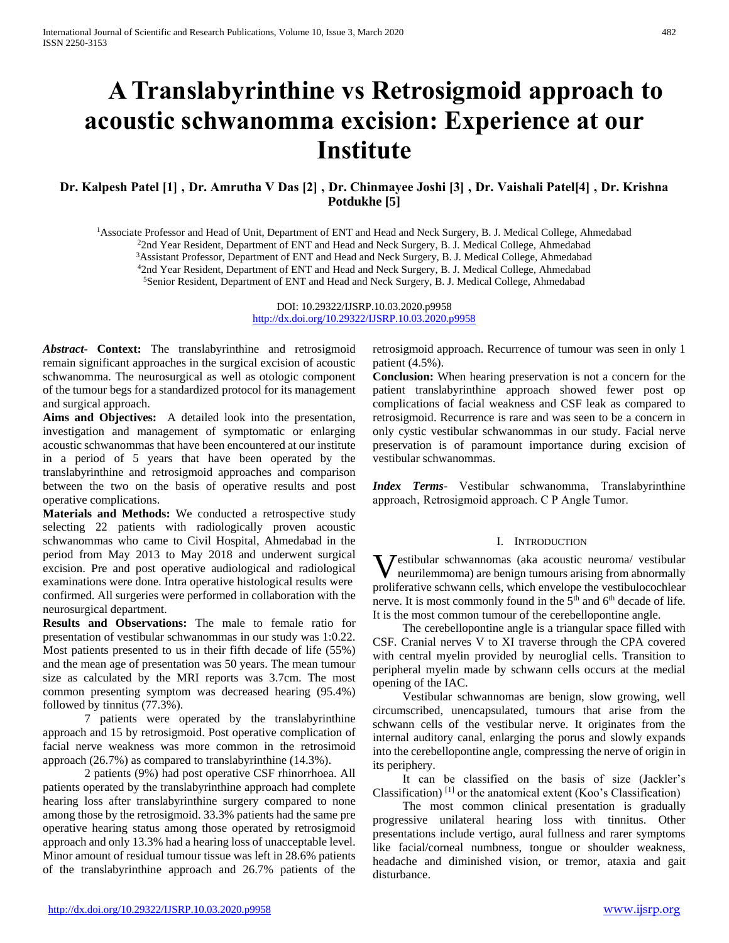# **A Translabyrinthine vs Retrosigmoid approach to acoustic schwanomma excision: Experience at our Institute**

# **Dr. Kalpesh Patel [1] , Dr. Amrutha V Das [2] , Dr. Chinmayee Joshi [3] , Dr. Vaishali Patel[4] , Dr. Krishna Potdukhe [5]**

<sup>1</sup>Associate Professor and Head of Unit, Department of ENT and Head and Neck Surgery, B. J. Medical College, Ahmedabad <sup>2</sup>2nd Year Resident, Department of ENT and Head and Neck Surgery, B. J. Medical College, Ahmedabad <sup>3</sup>Assistant Professor, Department of ENT and Head and Neck Surgery, B. J. Medical College, Ahmedabad <sup>4</sup>2nd Year Resident, Department of ENT and Head and Neck Surgery, B. J. Medical College, Ahmedabad <sup>5</sup>Senior Resident, Department of ENT and Head and Neck Surgery, B. J. Medical College, Ahmedabad

> DOI: 10.29322/IJSRP.10.03.2020.p9958 <http://dx.doi.org/10.29322/IJSRP.10.03.2020.p9958>

*Abstract***- Context:** The translabyrinthine and retrosigmoid remain significant approaches in the surgical excision of acoustic schwanomma. The neurosurgical as well as otologic component of the tumour begs for a standardized protocol for its management and surgical approach.

**Aims and Objectives:** A detailed look into the presentation, investigation and management of symptomatic or enlarging acoustic schwanommas that have been encountered at our institute in a period of 5 years that have been operated by the translabyrinthine and retrosigmoid approaches and comparison between the two on the basis of operative results and post operative complications.

**Materials and Methods:** We conducted a retrospective study selecting 22 patients with radiologically proven acoustic schwanommas who came to Civil Hospital, Ahmedabad in the period from May 2013 to May 2018 and underwent surgical excision. Pre and post operative audiological and radiological examinations were done. Intra operative histological results were confirmed. All surgeries were performed in collaboration with the neurosurgical department.

**Results and Observations:** The male to female ratio for presentation of vestibular schwanommas in our study was 1:0.22. Most patients presented to us in their fifth decade of life (55%) and the mean age of presentation was 50 years. The mean tumour size as calculated by the MRI reports was 3.7cm. The most common presenting symptom was decreased hearing (95.4%) followed by tinnitus (77.3%).

 7 patients were operated by the translabyrinthine approach and 15 by retrosigmoid. Post operative complication of facial nerve weakness was more common in the retrosimoid approach (26.7%) as compared to translabyrinthine (14.3%).

 2 patients (9%) had post operative CSF rhinorrhoea. All patients operated by the translabyrinthine approach had complete hearing loss after translabyrinthine surgery compared to none among those by the retrosigmoid. 33.3% patients had the same pre operative hearing status among those operated by retrosigmoid approach and only 13.3% had a hearing loss of unacceptable level. Minor amount of residual tumour tissue was left in 28.6% patients of the translabyrinthine approach and 26.7% patients of the retrosigmoid approach. Recurrence of tumour was seen in only 1 patient (4.5%).

**Conclusion:** When hearing preservation is not a concern for the patient translabyrinthine approach showed fewer post op complications of facial weakness and CSF leak as compared to retrosigmoid. Recurrence is rare and was seen to be a concern in only cystic vestibular schwanommas in our study. Facial nerve preservation is of paramount importance during excision of vestibular schwanommas.

*Index Terms*- Vestibular schwanomma, Translabyrinthine approach' Retrosigmoid approach. C P Angle Tumor.

#### I. INTRODUCTION

**V** estibular schwannomas (aka acoustic neuroma/ vestibular neurilemmoma) are benign tumours arising from abnormally neurilemmoma) are benign tumours arising from abnormally proliferative schwann cells, which envelope the vestibulocochlear nerve. It is most commonly found in the  $5<sup>th</sup>$  and  $6<sup>th</sup>$  decade of life. It is the most common tumour of the cerebellopontine angle.

 The cerebellopontine angle is a triangular space filled with CSF. Cranial nerves V to XI traverse through the CPA covered with central myelin provided by neuroglial cells. Transition to peripheral myelin made by schwann cells occurs at the medial opening of the IAC.

 Vestibular schwannomas are benign, slow growing, well circumscribed, unencapsulated, tumours that arise from the schwann cells of the vestibular nerve. It originates from the internal auditory canal, enlarging the porus and slowly expands into the cerebellopontine angle, compressing the nerve of origin in its periphery.

 It can be classified on the basis of size (Jackler's Classification)  $[1]$  or the anatomical extent (Koo's Classification)

 The most common clinical presentation is gradually progressive unilateral hearing loss with tinnitus. Other presentations include vertigo, aural fullness and rarer symptoms like facial/corneal numbness, tongue or shoulder weakness, headache and diminished vision, or tremor, ataxia and gait disturbance.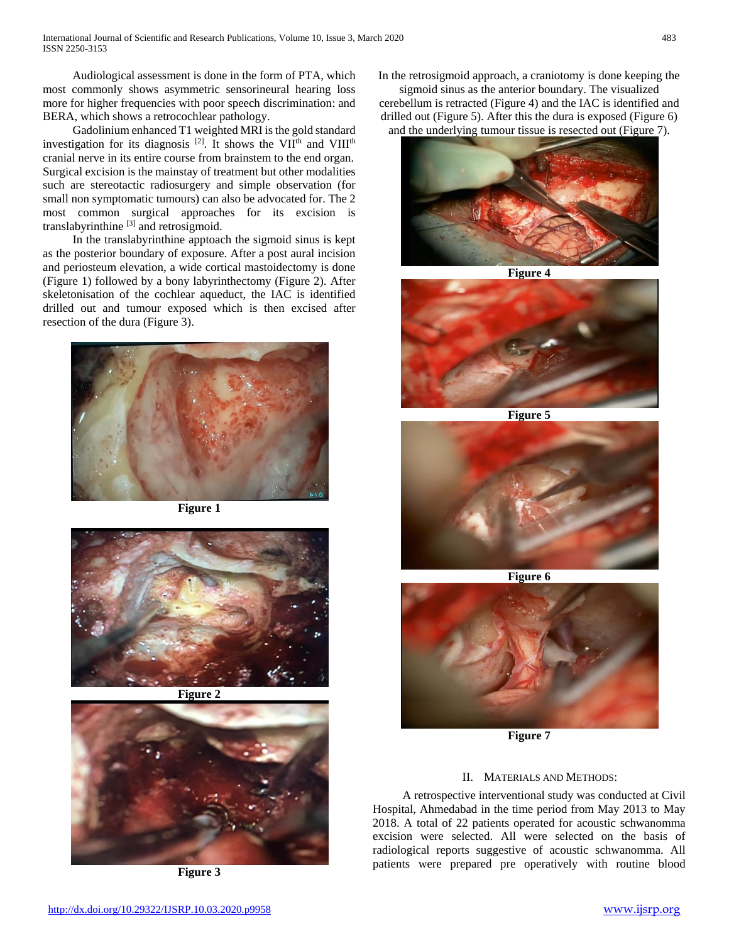Audiological assessment is done in the form of PTA, which most commonly shows asymmetric sensorineural hearing loss more for higher frequencies with poor speech discrimination: and BERA, which shows a retrocochlear pathology.

 Gadolinium enhanced T1 weighted MRI is the gold standard investigation for its diagnosis [2]. It shows the VII<sup>th</sup> and VIII<sup>th</sup> cranial nerve in its entire course from brainstem to the end organ. Surgical excision is the mainstay of treatment but other modalities such are stereotactic radiosurgery and simple observation (for small non symptomatic tumours) can also be advocated for. The 2 most common surgical approaches for its excision is translabyrinthine [3] and retrosigmoid.

 In the translabyrinthine apptoach the sigmoid sinus is kept as the posterior boundary of exposure. After a post aural incision and periosteum elevation, a wide cortical mastoidectomy is done (Figure 1) followed by a bony labyrinthectomy (Figure 2). After skeletonisation of the cochlear aqueduct, the IAC is identified drilled out and tumour exposed which is then excised after resection of the dura (Figure 3).



**Figure 1**







**Figure 3**

In the retrosigmoid approach, a craniotomy is done keeping the

sigmoid sinus as the anterior boundary. The visualized cerebellum is retracted (Figure 4) and the IAC is identified and drilled out (Figure 5). After this the dura is exposed (Figure 6) and the underlying tumour tissue is resected out (Figure 7).



**Figure 4**



**Figure 5**



**Figure 6**



**Figure 7**

## II. MATERIALS AND METHODS:

 A retrospective interventional study was conducted at Civil Hospital, Ahmedabad in the time period from May 2013 to May 2018. A total of 22 patients operated for acoustic schwanomma excision were selected. All were selected on the basis of radiological reports suggestive of acoustic schwanomma. All patients were prepared pre operatively with routine blood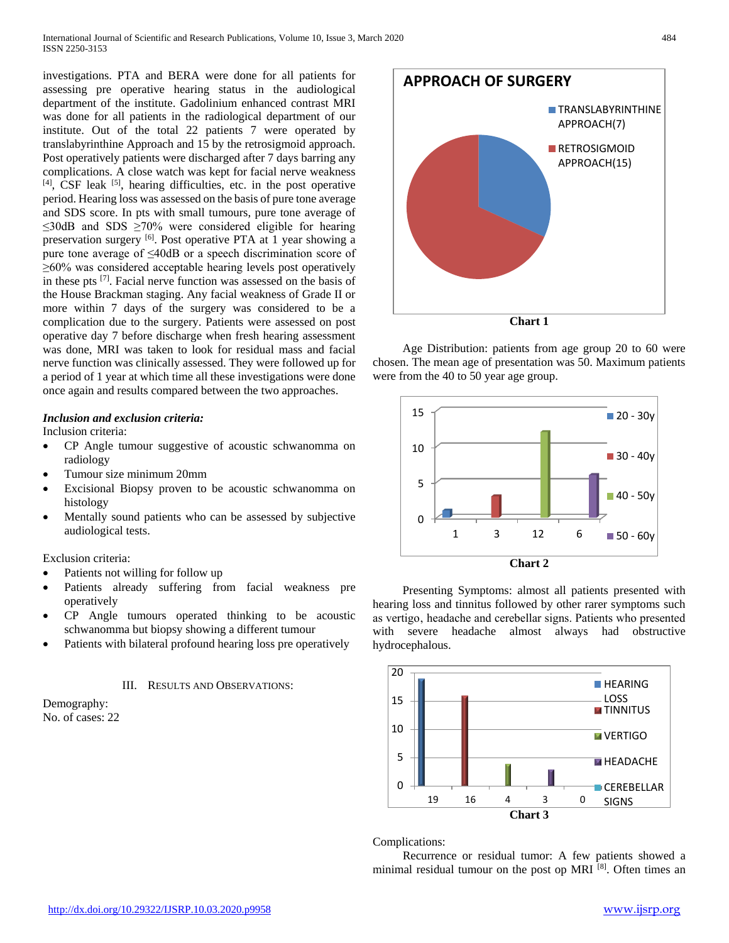investigations. PTA and BERA were done for all patients for assessing pre operative hearing status in the audiological department of the institute. Gadolinium enhanced contrast MRI was done for all patients in the radiological department of our institute. Out of the total 22 patients 7 were operated by translabyrinthine Approach and 15 by the retrosigmoid approach. Post operatively patients were discharged after 7 days barring any complications. A close watch was kept for facial nerve weakness  $[4]$ , CSF leak  $[5]$ , hearing difficulties, etc. in the post operative period. Hearing loss was assessed on the basis of pure tone average and SDS score. In pts with small tumours, pure tone average of ≤30dB and SDS ≥70% were considered eligible for hearing preservation surgery [6]. Post operative PTA at 1 year showing a pure tone average of ≤40dB or a speech discrimination score of ≥60% was considered acceptable hearing levels post operatively in these pts [7]. Facial nerve function was assessed on the basis of the House Brackman staging. Any facial weakness of Grade II or more within 7 days of the surgery was considered to be a complication due to the surgery. Patients were assessed on post operative day 7 before discharge when fresh hearing assessment was done, MRI was taken to look for residual mass and facial nerve function was clinically assessed. They were followed up for a period of 1 year at which time all these investigations were done once again and results compared between the two approaches.

### *Inclusion and exclusion criteria:*

Inclusion criteria:

- CP Angle tumour suggestive of acoustic schwanomma on radiology
- Tumour size minimum 20mm
- Excisional Biopsy proven to be acoustic schwanomma on histology
- Mentally sound patients who can be assessed by subjective audiological tests.

Exclusion criteria:

- Patients not willing for follow up
- Patients already suffering from facial weakness pre operatively
- CP Angle tumours operated thinking to be acoustic schwanomma but biopsy showing a different tumour
- Patients with bilateral profound hearing loss pre operatively

#### III. RESULTS AND OBSERVATIONS:





**Chart 1**

 Age Distribution: patients from age group 20 to 60 were chosen. The mean age of presentation was 50. Maximum patients were from the 40 to 50 year age group.



 Presenting Symptoms: almost all patients presented with hearing loss and tinnitus followed by other rarer symptoms such as vertigo, headache and cerebellar signs. Patients who presented with severe headache almost always had obstructive hydrocephalous.



#### Complications:

 Recurrence or residual tumor: A few patients showed a minimal residual tumour on the post op MRI  $[8]$ . Often times an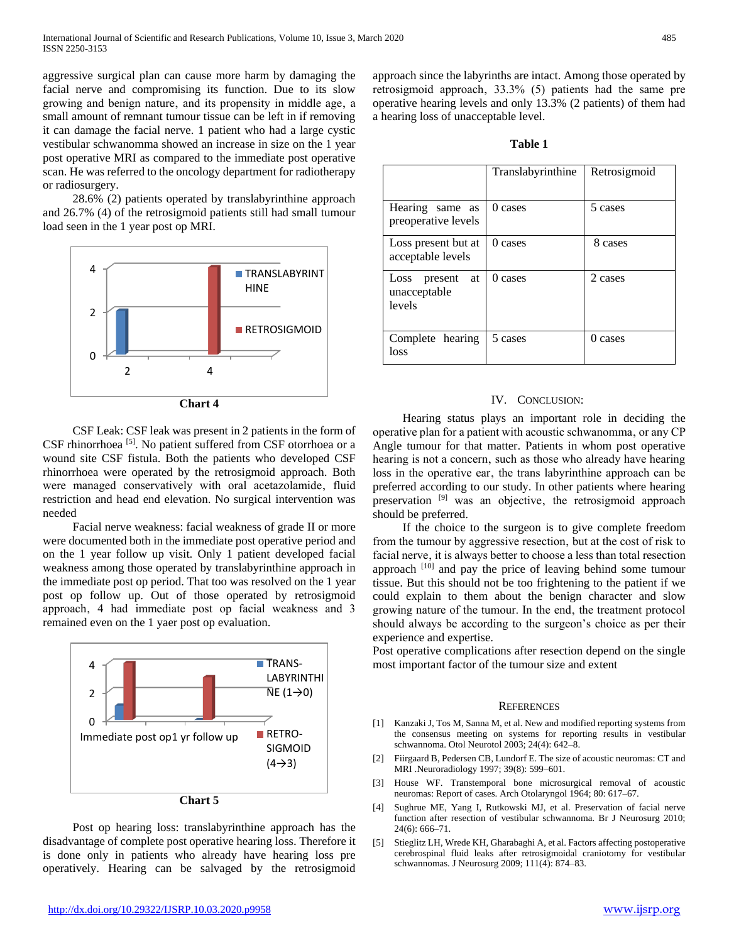aggressive surgical plan can cause more harm by damaging the facial nerve and compromising its function. Due to its slow growing and benign nature, and its propensity in middle age, a small amount of remnant tumour tissue can be left in if removing it can damage the facial nerve. 1 patient who had a large cystic vestibular schwanomma showed an increase in size on the 1 year post operative MRI as compared to the immediate post operative scan. He was referred to the oncology department for radiotherapy or radiosurgery.

 28.6% (2) patients operated by translabyrinthine approach and 26.7% (4) of the retrosigmoid patients still had small tumour load seen in the 1 year post op MRI.



**Chart 4**

 CSF Leak: CSF leak was present in 2 patients in the form of CSF rhinorrhoea<sup>[5]</sup>. No patient suffered from CSF otorrhoea or a wound site CSF fistula. Both the patients who developed CSF rhinorrhoea were operated by the retrosigmoid approach. Both were managed conservatively with oral acetazolamide, fluid restriction and head end elevation. No surgical intervention was needed

 Facial nerve weakness: facial weakness of grade II or more were documented both in the immediate post operative period and on the 1 year follow up visit. Only 1 patient developed facial weakness among those operated by translabyrinthine approach in the immediate post op period. That too was resolved on the 1 year post op follow up. Out of those operated by retrosigmoid approach' 4 had immediate post op facial weakness and 3 remained even on the 1 yaer post op evaluation.



 Post op hearing loss: translabyrinthine approach has the disadvantage of complete post operative hearing loss. Therefore it is done only in patients who already have hearing loss pre operatively. Hearing can be salvaged by the retrosigmoid

approach since the labyrinths are intact. Among those operated by retrosigmoid approach, 33.3% (5) patients had the same pre operative hearing levels and only 13.3% (2 patients) of them had a hearing loss of unacceptable level.

| ×<br>۰,<br>٠<br>۰, |  |
|--------------------|--|
|--------------------|--|

|                                                 | Translabyrinthine | Retrosigmoid |
|-------------------------------------------------|-------------------|--------------|
| Hearing same as<br>preoperative levels          | 0 cases           | 5 cases      |
| Loss present but at<br>acceptable levels        | 0 cases           | 8 cases      |
| Loss<br>present<br>at<br>unacceptable<br>levels | 0 cases           | 2 cases      |
| Complete hearing<br>loss                        | 5 cases           | 0 cases      |

#### IV. CONCLUSION:

 Hearing status plays an important role in deciding the operative plan for a patient with acoustic schwanomma, or any CP Angle tumour for that matter. Patients in whom post operative hearing is not a concern, such as those who already have hearing loss in the operative ear, the trans labyrinthine approach can be preferred according to our study. In other patients where hearing preservation <sup>[9]</sup> was an objective, the retrosigmoid approach should be preferred.

 If the choice to the surgeon is to give complete freedom from the tumour by aggressive resection, but at the cost of risk to facial nerve, it is always better to choose a less than total resection approach <sup>[10]</sup> and pay the price of leaving behind some tumour tissue. But this should not be too frightening to the patient if we could explain to them about the benign character and slow growing nature of the tumour. In the end, the treatment protocol should always be according to the surgeon's choice as per their experience and expertise.

Post operative complications after resection depend on the single most important factor of the tumour size and extent

#### **REFERENCES**

- [1] Kanzaki J, Tos M, Sanna M, et al. New and modified reporting systems from the consensus meeting on systems for reporting results in vestibular schwannoma. Otol Neurotol 2003; 24(4): 642–8.
- [2] Fiirgaard B, Pedersen CB, Lundorf E. The size of acoustic neuromas: CT and MRI .Neuroradiology 1997; 39(8): 599–601.
- [3] House WF. Transtemporal bone microsurgical removal of acoustic neuromas: Report of cases. Arch Otolaryngol 1964; 80: 617–67.
- [4] Sughrue ME, Yang I, Rutkowski MJ, et al. Preservation of facial nerve function after resection of vestibular schwannoma. Br J Neurosurg 2010; 24(6): 666–71.
- [5] Stieglitz LH, Wrede KH, Gharabaghi A, et al. Factors affecting postoperative cerebrospinal fluid leaks after retrosigmoidal craniotomy for vestibular schwannomas. J Neurosurg 2009; 111(4): 874–83.